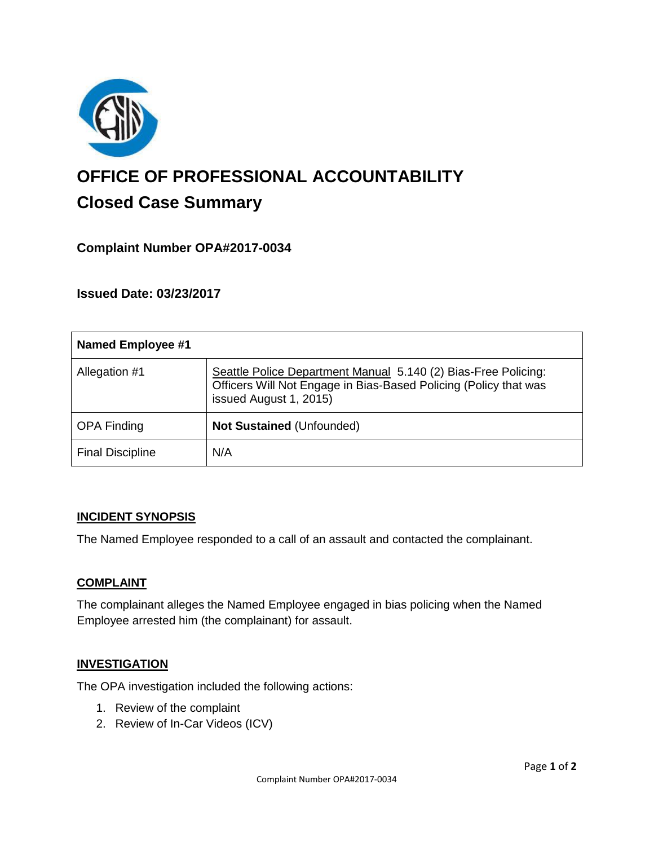

# **OFFICE OF PROFESSIONAL ACCOUNTABILITY Closed Case Summary**

## **Complaint Number OPA#2017-0034**

**Issued Date: 03/23/2017**

| <b>Named Employee #1</b> |                                                                                                                                                              |
|--------------------------|--------------------------------------------------------------------------------------------------------------------------------------------------------------|
| Allegation #1            | Seattle Police Department Manual 5.140 (2) Bias-Free Policing:<br>Officers Will Not Engage in Bias-Based Policing (Policy that was<br>issued August 1, 2015) |
| <b>OPA Finding</b>       | <b>Not Sustained (Unfounded)</b>                                                                                                                             |
| <b>Final Discipline</b>  | N/A                                                                                                                                                          |

#### **INCIDENT SYNOPSIS**

The Named Employee responded to a call of an assault and contacted the complainant.

## **COMPLAINT**

The complainant alleges the Named Employee engaged in bias policing when the Named Employee arrested him (the complainant) for assault.

#### **INVESTIGATION**

The OPA investigation included the following actions:

- 1. Review of the complaint
- 2. Review of In-Car Videos (ICV)